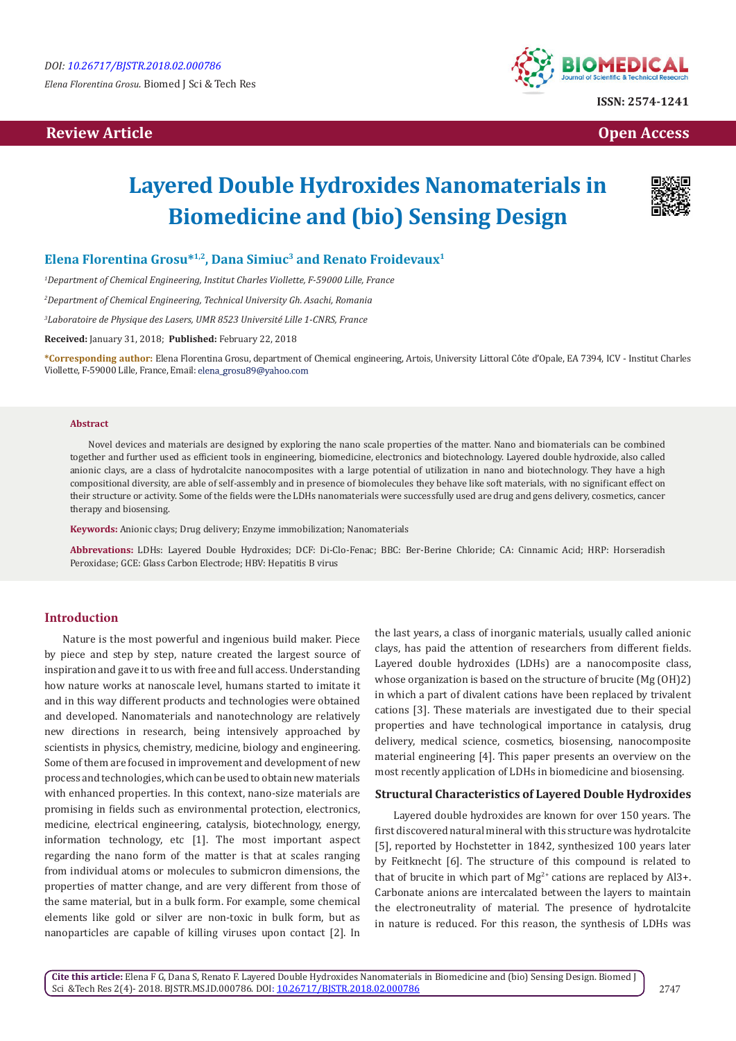*Elena Florentina Grosu.* Biomed J Sci & Tech Res

# **Review Article Contract Contract Contract Contract Contract Contract Contract Contract Contract Contract Contract Contract Contract Contract Contract Contract Contract Contract Contract Contract Contract Contract Contract**



# **Layered Double Hydroxides Nanomaterials in Biomedicine and (bio) Sensing Design**



# **Elena Florentina Grosu\*1,2, Dana Simiuc3 and Renato Froidevaux1**

*1 Department of Chemical Engineering, Institut Charles Viollette, F-59000 Lille, France*

*2 Department of Chemical Engineering, Technical University Gh. Asachi, Romania*

*3 Laboratoire de Physique des Lasers, UMR 8523 Université Lille 1-CNRS, France*

**Received:** January 31, 2018; **Published:** February 22, 2018

**\*Corresponding author:** Elena Florentina Grosu, department of Chemical engineering, Artois, University Littoral Côte d'Opale, EA 7394, ICV - Institut Charles Viollette, F-59000 Lille, France, Email: elena\_grosu89@yahoo.com

#### **Abstract**

Novel devices and materials are designed by exploring the nano scale properties of the matter. Nano and biomaterials can be combined together and further used as efficient tools in engineering, biomedicine, electronics and biotechnology. Layered double hydroxide, also called anionic clays, are a class of hydrotalcite nanocomposites with a large potential of utilization in nano and biotechnology. They have a high compositional diversity, are able of self-assembly and in presence of biomolecules they behave like soft materials, with no significant effect on their structure or activity. Some of the fields were the LDHs nanomaterials were successfully used are drug and gens delivery, cosmetics, cancer therapy and biosensing.

**Keywords:** Anionic clays; Drug delivery; Enzyme immobilization; Nanomaterials

**Abbrevations:** LDHs: Layered Double Hydroxides; DCF: Di-Clo-Fenac; BBC: Ber-Berine Chloride; CA: Cinnamic Acid; HRP: Horseradish Peroxidase; GCE: Glass Carbon Electrode; HBV: Hepatitis B virus

### **Introduction**

Nature is the most powerful and ingenious build maker. Piece by piece and step by step, nature created the largest source of inspiration and gave it to us with free and full access. Understanding how nature works at nanoscale level, humans started to imitate it and in this way different products and technologies were obtained and developed. Nanomaterials and nanotechnology are relatively new directions in research, being intensively approached by scientists in physics, chemistry, medicine, biology and engineering. Some of them are focused in improvement and development of new process and technologies, which can be used to obtain new materials with enhanced properties. In this context, nano-size materials are promising in fields such as environmental protection, electronics, medicine, electrical engineering, catalysis, biotechnology, energy, information technology, etc [1]. The most important aspect regarding the nano form of the matter is that at scales ranging from individual atoms or molecules to submicron dimensions, the properties of matter change, and are very different from those of the same material, but in a bulk form. For example, some chemical elements like gold or silver are non-toxic in bulk form, but as nanoparticles are capable of killing viruses upon contact [2]. In

the last years, a class of inorganic materials, usually called anionic clays, has paid the attention of researchers from different fields. Layered double hydroxides (LDHs) are a nanocomposite class, whose organization is based on the structure of brucite (Mg (OH)2) in which a part of divalent cations have been replaced by trivalent cations [3]. These materials are investigated due to their special properties and have technological importance in catalysis, drug delivery, medical science, cosmetics, biosensing, nanocomposite material engineering [4]. This paper presents an overview on the most recently application of LDHs in biomedicine and biosensing.

#### **Structural Characteristics of Layered Double Hydroxides**

Layered double hydroxides are known for over 150 years. The first discovered natural mineral with this structure was hydrotalcite [5], reported by Hochstetter in 1842, synthesized 100 years later by Feitknecht [6]. The structure of this compound is related to that of brucite in which part of  $Mg^{2+}$  cations are replaced by Al3+. Carbonate anions are intercalated between the layers to maintain the electroneutrality of material. The presence of hydrotalcite in nature is reduced. For this reason, the synthesis of LDHs was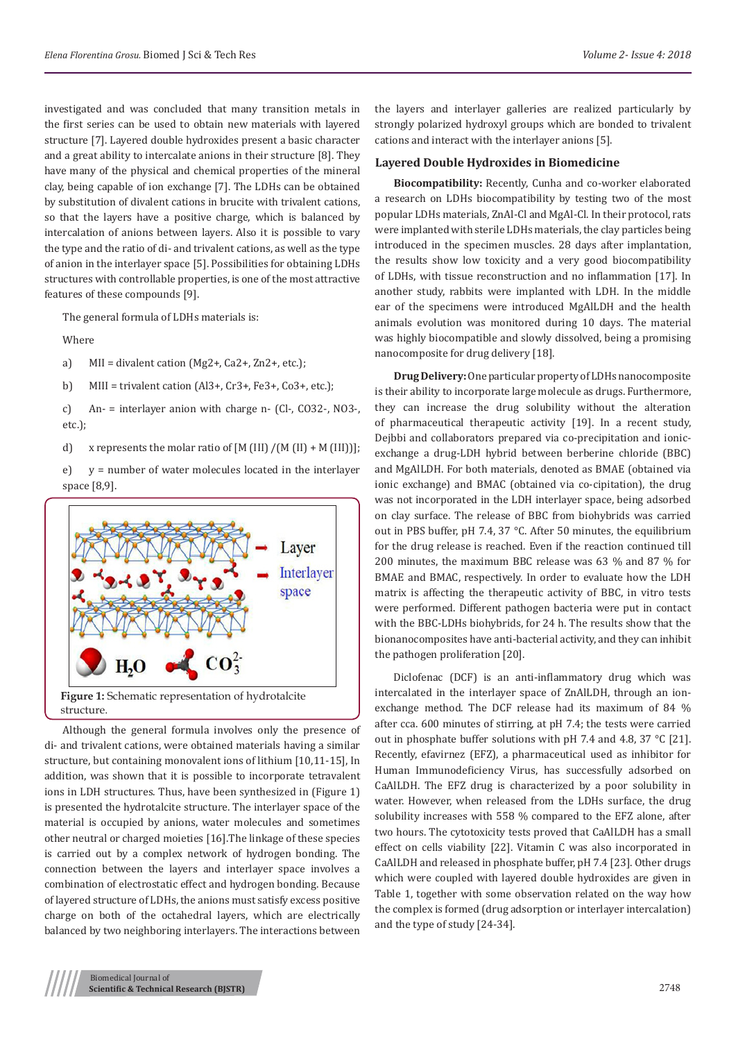structure [7]. Layered double hydroxides present a basic character and a great ability to intercalate anions in their structure [8]. They have many of the physical and chemical properties of the mineral clay, being capable of ion exchange [7]. The LDHs can be obtained by substitution of divalent cations in brucite with trivalent cations, so that the layers have a positive charge, which is balanced by intercalation of anions between layers. Also it is possible to vary the type and the ratio of di- and trivalent cations, as well as the type of anion in the interlayer space [5]. Possibilities for obtaining LDHs structures with controllable properties, is one of the most attractive features of these compounds [9].

The general formula of LDHs materials is:

Where

a)  $MI = \text{divalent cation (Mg2+, Ca2+, Zn2+, etc.)}$ 

b) MIII = trivalent cation (Al3+, Cr3+, Fe3+, Co3+, etc.);

c) An- = interlayer anion with charge n- (Cl-, CO32-, NO3-, etc.);

d) x represents the molar ratio of  $[M (III) / (M (II) + M (III))]$ ;

e) y = number of water molecules located in the interlayer space [8,9].





Although the general formula involves only the presence of di- and trivalent cations, were obtained materials having a similar structure, but containing monovalent ions of lithium [10,11-15], In addition, was shown that it is possible to incorporate tetravalent ions in LDH structures. Thus, have been synthesized in (Figure 1) is presented the hydrotalcite structure. The interlayer space of the material is occupied by anions, water molecules and sometimes other neutral or charged moieties [16].The linkage of these species is carried out by a complex network of hydrogen bonding. The connection between the layers and interlayer space involves a combination of electrostatic effect and hydrogen bonding. Because of layered structure of LDHs, the anions must satisfy excess positive charge on both of the octahedral layers, which are electrically balanced by two neighboring interlayers. The interactions between

the layers and interlayer galleries are realized particularly by strongly polarized hydroxyl groups which are bonded to trivalent cations and interact with the interlayer anions [5].

## **Layered Double Hydroxides in Biomedicine**

**Biocompatibility:** Recently, Cunha and co-worker elaborated a research on LDHs biocompatibility by testing two of the most popular LDHs materials, ZnAl-Cl and MgAl-Cl. In their protocol, rats were implanted with sterile LDHs materials, the clay particles being introduced in the specimen muscles. 28 days after implantation, the results show low toxicity and a very good biocompatibility of LDHs, with tissue reconstruction and no inflammation [17]. In another study, rabbits were implanted with LDH. In the middle ear of the specimens were introduced MgAlLDH and the health animals evolution was monitored during 10 days. The material was highly biocompatible and slowly dissolved, being a promising nanocomposite for drug delivery [18].

**Drug Delivery:** One particular property of LDHs nanocomposite is their ability to incorporate large molecule as drugs. Furthermore, they can increase the drug solubility without the alteration of pharmaceutical therapeutic activity [19]. In a recent study, Dejbbi and collaborators prepared via co-precipitation and ionicexchange a drug-LDH hybrid between berberine chloride (BBC) and MgAlLDH. For both materials, denoted as BMAE (obtained via ionic exchange) and BMAC (obtained via co-cipitation), the drug was not incorporated in the LDH interlayer space, being adsorbed on clay surface. The release of BBC from biohybrids was carried out in PBS buffer, pH 7.4, 37 °C. After 50 minutes, the equilibrium for the drug release is reached. Even if the reaction continued till 200 minutes, the maximum BBC release was 63 % and 87 % for BMAE and BMAC, respectively. In order to evaluate how the LDH matrix is affecting the therapeutic activity of BBC, in vitro tests were performed. Different pathogen bacteria were put in contact with the BBC-LDHs biohybrids, for 24 h. The results show that the bionanocomposites have anti-bacterial activity, and they can inhibit the pathogen proliferation [20].

Diclofenac (DCF) is an anti-inflammatory drug which was intercalated in the interlayer space of ZnAlLDH, through an ionexchange method. The DCF release had its maximum of 84 % after cca. 600 minutes of stirring, at pH 7.4; the tests were carried out in phosphate buffer solutions with pH 7.4 and 4.8, 37 °C [21]. Recently, efavirnez (EFZ), a pharmaceutical used as inhibitor for Human Immunodeficiency Virus, has successfully adsorbed on CaAlLDH. The EFZ drug is characterized by a poor solubility in water. However, when released from the LDHs surface, the drug solubility increases with 558 % compared to the EFZ alone, after two hours. The cytotoxicity tests proved that CaAlLDH has a small effect on cells viability [22]. Vitamin C was also incorporated in CaAlLDH and released in phosphate buffer, pH 7.4 [23]. Other drugs which were coupled with layered double hydroxides are given in Table 1, together with some observation related on the way how the complex is formed (drug adsorption or interlayer intercalation) and the type of study [24-34].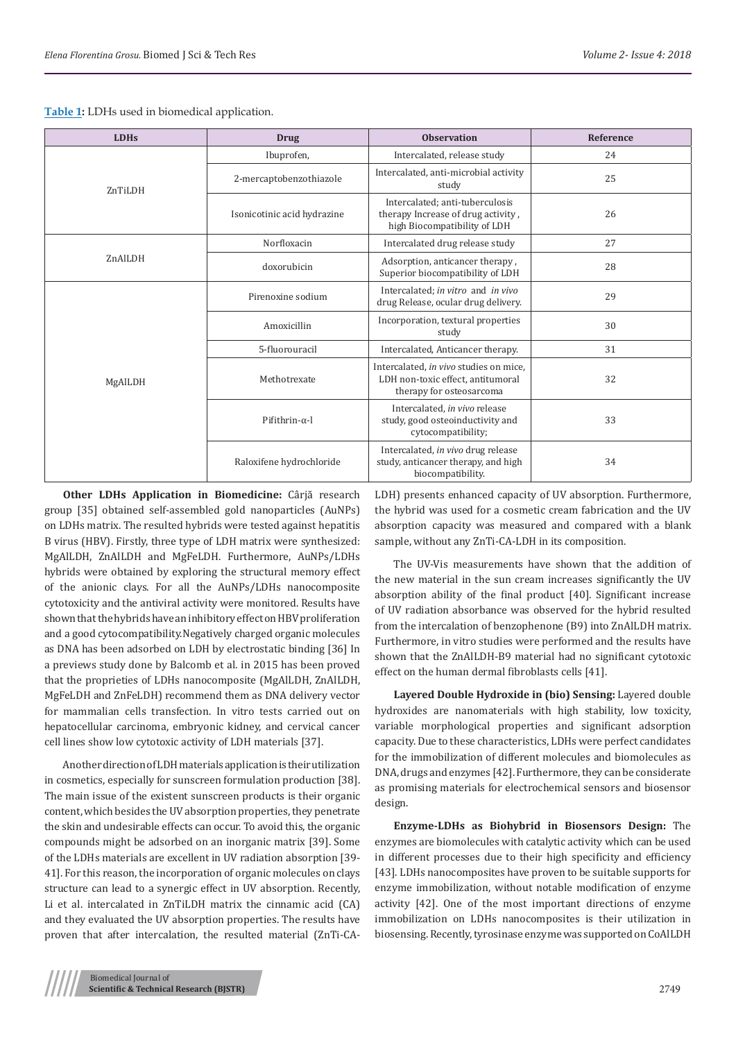| Table 1: LDHs used in biomedical application. |  |  |  |  |
|-----------------------------------------------|--|--|--|--|
|-----------------------------------------------|--|--|--|--|

| <b>LDHs</b> | <b>Drug</b>                 | <b>Observation</b>                                                                                      | Reference |
|-------------|-----------------------------|---------------------------------------------------------------------------------------------------------|-----------|
| ZnTiLDH     | Ibuprofen,                  | Intercalated, release study                                                                             | 24        |
|             | 2-mercaptobenzothiazole     | Intercalated, anti-microbial activity<br>study                                                          | 25        |
|             | Isonicotinic acid hydrazine | Intercalated; anti-tuberculosis<br>therapy Increase of drug activity,<br>high Biocompatibility of LDH   | 26        |
| ZnAlLDH     | Norfloxacin                 | Intercalated drug release study                                                                         | 27        |
|             | doxorubicin                 | Adsorption, anticancer therapy,<br>Superior biocompatibility of LDH                                     | 28        |
| MgAlLDH     | Pirenoxine sodium           | Intercalated; in vitro and in vivo<br>drug Release, ocular drug delivery.                               | 29        |
|             | Amoxicillin                 | Incorporation, textural properties<br>study                                                             | 30        |
|             | 5-fluorouracil              | Intercalated, Anticancer therapy.                                                                       | 31        |
|             | Methotrexate                | Intercalated, in vivo studies on mice,<br>LDH non-toxic effect, antitumoral<br>therapy for osteosarcoma | 32        |
|             | Pifithrin- $\alpha$ -l      | Intercalated, in vivo release<br>study, good osteoinductivity and<br>cytocompatibility;                 | 33        |
|             | Raloxifene hydrochloride    | Intercalated, in vivo drug release<br>study, anticancer therapy, and high<br>biocompatibility.          | 34        |

**Other LDHs Application in Biomedicine:** Cârjă research group [35] obtained self-assembled gold nanoparticles (AuNPs) on LDHs matrix. The resulted hybrids were tested against hepatitis B virus (HBV). Firstly, three type of LDH matrix were synthesized: MgAlLDH, ZnAlLDH and MgFeLDH. Furthermore, AuNPs/LDHs hybrids were obtained by exploring the structural memory effect of the anionic clays. For all the AuNPs/LDHs nanocomposite cytotoxicity and the antiviral activity were monitored. Results have shown that the hybrids have an inhibitory effect on HBV proliferation and a good cytocompatibility.Negatively charged organic molecules as DNA has been adsorbed on LDH by electrostatic binding [36] In a previews study done by Balcomb et al. in 2015 has been proved that the proprieties of LDHs nanocomposite (MgAlLDH, ZnAlLDH, MgFeLDH and ZnFeLDH) recommend them as DNA delivery vector for mammalian cells transfection. In vitro tests carried out on hepatocellular carcinoma, embryonic kidney, and cervical cancer cell lines show low cytotoxic activity of LDH materials [37].

Another direction of LDH materials application is their utilization in cosmetics, especially for sunscreen formulation production [38]. The main issue of the existent sunscreen products is their organic content, which besides the UV absorption properties, they penetrate the skin and undesirable effects can occur. To avoid this, the organic compounds might be adsorbed on an inorganic matrix [39]. Some of the LDHs materials are excellent in UV radiation absorption [39- 41]. For this reason, the incorporation of organic molecules on clays structure can lead to a synergic effect in UV absorption. Recently, Li et al. intercalated in ZnTiLDH matrix the cinnamic acid (CA) and they evaluated the UV absorption properties. The results have proven that after intercalation, the resulted material (ZnTi-CA-

LDH) presents enhanced capacity of UV absorption. Furthermore, the hybrid was used for a cosmetic cream fabrication and the UV absorption capacity was measured and compared with a blank sample, without any ZnTi-CA-LDH in its composition.

The UV-Vis measurements have shown that the addition of the new material in the sun cream increases significantly the UV absorption ability of the final product [40]. Significant increase of UV radiation absorbance was observed for the hybrid resulted from the intercalation of benzophenone (B9) into ZnAlLDH matrix. Furthermore, in vitro studies were performed and the results have shown that the ZnAlLDH-B9 material had no significant cytotoxic effect on the human dermal fibroblasts cells [41].

**Layered Double Hydroxide in (bio) Sensing:** Layered double hydroxides are nanomaterials with high stability, low toxicity, variable morphological properties and significant adsorption capacity. Due to these characteristics, LDHs were perfect candidates for the immobilization of different molecules and biomolecules as DNA, drugs and enzymes [42]. Furthermore, they can be considerate as promising materials for electrochemical sensors and biosensor design.

**Enzyme-LDHs as Biohybrid in Biosensors Design:** The enzymes are biomolecules with catalytic activity which can be used in different processes due to their high specificity and efficiency [43]. LDHs nanocomposites have proven to be suitable supports for enzyme immobilization, without notable modification of enzyme activity [42]. One of the most important directions of enzyme immobilization on LDHs nanocomposites is their utilization in biosensing. Recently, tyrosinase enzyme was supported on CoAlLDH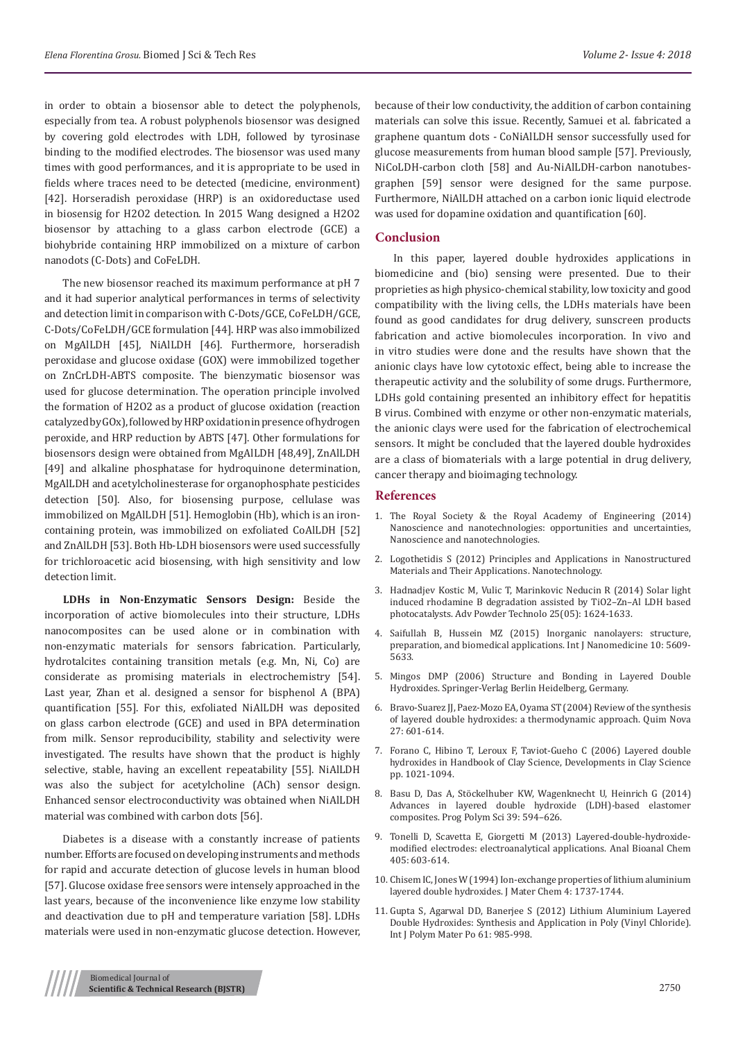in order to obtain a biosensor able to detect the polyphenols, especially from tea. A robust polyphenols biosensor was designed by covering gold electrodes with LDH, followed by tyrosinase binding to the modified electrodes. The biosensor was used many times with good performances, and it is appropriate to be used in fields where traces need to be detected (medicine, environment) [42]. Horseradish peroxidase (HRP) is an oxidoreductase used in biosensig for H2O2 detection. In 2015 Wang designed a H2O2 biosensor by attaching to a glass carbon electrode (GCE) a biohybride containing HRP immobilized on a mixture of carbon nanodots (C-Dots) and CoFeLDH.

The new biosensor reached its maximum performance at pH 7 and it had superior analytical performances in terms of selectivity and detection limit in comparison with C-Dots/GCE, CoFeLDH/GCE, C-Dots/CoFeLDH/GCE formulation [44]. HRP was also immobilized on MgAlLDH [45], NiAlLDH [46]. Furthermore, horseradish peroxidase and glucose oxidase (GOX) were immobilized together on ZnCrLDH-ABTS composite. The bienzymatic biosensor was used for glucose determination. The operation principle involved the formation of H2O2 as a product of glucose oxidation (reaction catalyzed by GOx), followed by HRP oxidation in presence of hydrogen peroxide, and HRP reduction by ABTS [47]. Other formulations for biosensors design were obtained from MgAlLDH [48,49], ZnAlLDH [49] and alkaline phosphatase for hydroquinone determination, MgAlLDH and acetylcholinesterase for organophosphate pesticides detection [50]. Also, for biosensing purpose, cellulase was immobilized on MgAlLDH [51]. Hemoglobin (Hb), which is an ironcontaining protein, was immobilized on exfoliated CoAlLDH [52] and ZnAlLDH [53]. Both Hb-LDH biosensors were used successfully for trichloroacetic acid biosensing, with high sensitivity and low detection limit.

**LDHs in Non-Enzymatic Sensors Design:** Beside the incorporation of active biomolecules into their structure, LDHs nanocomposites can be used alone or in combination with non-enzymatic materials for sensors fabrication. Particularly, hydrotalcites containing transition metals (e.g. Mn, Ni, Co) are considerate as promising materials in electrochemistry [54]. Last year, Zhan et al. designed a sensor for bisphenol A (BPA) quantification [55]. For this, exfoliated NiAlLDH was deposited on glass carbon electrode (GCE) and used in BPA determination from milk. Sensor reproducibility, stability and selectivity were investigated. The results have shown that the product is highly selective, stable, having an excellent repeatability [55]. NiAlLDH was also the subject for acetylcholine (ACh) sensor design. Enhanced sensor electroconductivity was obtained when NiAlLDH material was combined with carbon dots [56].

Diabetes is a disease with a constantly increase of patients number. Efforts are focused on developing instruments and methods for rapid and accurate detection of glucose levels in human blood [57]. Glucose oxidase free sensors were intensely approached in the last years, because of the inconvenience like enzyme low stability and deactivation due to pH and temperature variation [58]. LDHs materials were used in non-enzymatic glucose detection. However,

because of their low conductivity, the addition of carbon containing materials can solve this issue. Recently, Samuei et al. fabricated a graphene quantum dots - CoNiAlLDH sensor successfully used for glucose measurements from human blood sample [57]. Previously, NiCoLDH-carbon cloth [58] and Au-NiAlLDH-carbon nanotubesgraphen [59] sensor were designed for the same purpose. Furthermore, NiAlLDH attached on a carbon ionic liquid electrode was used for dopamine oxidation and quantification [60].

## **Conclusion**

In this paper, layered double hydroxides applications in biomedicine and (bio) sensing were presented. Due to their proprieties as high physico-chemical stability, low toxicity and good compatibility with the living cells, the LDHs materials have been found as good candidates for drug delivery, sunscreen products fabrication and active biomolecules incorporation. In vivo and in vitro studies were done and the results have shown that the anionic clays have low cytotoxic effect, being able to increase the therapeutic activity and the solubility of some drugs. Furthermore, LDHs gold containing presented an inhibitory effect for hepatitis B virus. Combined with enzyme or other non-enzymatic materials, the anionic clays were used for the fabrication of electrochemical sensors. It might be concluded that the layered double hydroxides are a class of biomaterials with a large potential in drug delivery, cancer therapy and bioimaging technology.

#### **References**

- 1. The Royal Society & the Royal Academy of Engineering (2014) Nanoscience and nanotechnologies: opportunities and uncertainties, Nanoscience and nanotechnologies.
- 2. Logothetidis S (2012) Principles and Applications in Nanostructured Materials and Their Applications. Nanotechnology.
- 3. [Hadnadjev Kostic M, Vulic T, Marinkovic Neducin R \(2014\) Solar light](https://www.sciencedirect.com/science/article/pii/S0921883114001538) [induced rhodamine B degradation assisted by TiO2–Zn–Al LDH based](https://www.sciencedirect.com/science/article/pii/S0921883114001538) [photocatalysts. Adv Powder Technolo 25\(05\): 1624-1633.](https://www.sciencedirect.com/science/article/pii/S0921883114001538)
- 4. [Saifullah B, Hussein MZ \(2015\) Inorganic nanolayers: structure,](https://www.ncbi.nlm.nih.gov/pubmed/26366081) [preparation, and biomedical applications. Int J Nanomedicine 10: 5609-](https://www.ncbi.nlm.nih.gov/pubmed/26366081) [5633.](https://www.ncbi.nlm.nih.gov/pubmed/26366081)
- 5. Mingos DMP (2006) Structure and Bonding in Layered Double Hydroxides. Springer-Verlag Berlin Heidelberg, Germany.
- 6. [Bravo-Suarez JJ, Paez-Mozo EA, Oyama ST \(2004\) Review of the synthesis](http://www.scielo.br/scielo.php?script=sci_arttext&pid=S0100-40422004000400015) [of layered double hydroxides: a thermodynamic approach. Quim Nova](http://www.scielo.br/scielo.php?script=sci_arttext&pid=S0100-40422004000400015) [27: 601-614.](http://www.scielo.br/scielo.php?script=sci_arttext&pid=S0100-40422004000400015)
- 7. Forano C, Hibino T, Leroux F, Taviot-Gueho C (2006) Layered double hydroxides in Handbook of Clay Science, Developments in Clay Science pp. 1021-1094.
- 8. [Basu D, Das A, Stöckelhuber KW, Wagenknecht U, Heinrich G \(2014\)](https://www.sciencedirect.com/science/article/pii/S0079670013000993?via%3Dihub) [Advances in layered double hydroxide \(LDH\)-based elastomer](https://www.sciencedirect.com/science/article/pii/S0079670013000993?via%3Dihub) [composites. Prog Polym Sci 39: 594–626.](https://www.sciencedirect.com/science/article/pii/S0079670013000993?via%3Dihub)
- 9. [Tonelli D, Scavetta E, Giorgetti M \(2013\) Layered-double-hydroxide](https://www.ncbi.nlm.nih.gov/pubmed/23224573)[modified electrodes: electroanalytical applications. Anal Bioanal Chem](https://www.ncbi.nlm.nih.gov/pubmed/23224573) [405: 603-614.](https://www.ncbi.nlm.nih.gov/pubmed/23224573)
- 10. Chisem IC, Jones W (1994) Ion-exchange properties of lithium aluminium layered double hydroxides. J Mater Chem 4: 1737-1744.
- 11. Gupta S, Agarwal DD, Banerjee S (2012) Lithium Aluminium Layered Double Hydroxides: Synthesis and Application in Poly (Vinyl Chloride). Int J Polym Mater Po 61: 985-998.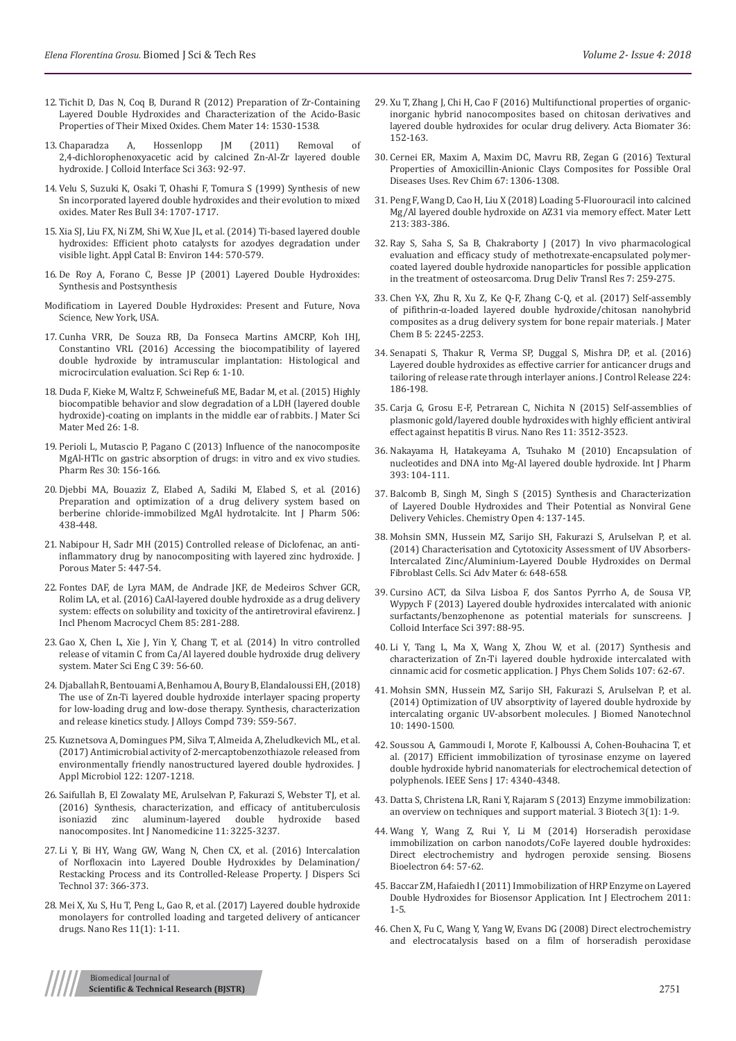- 12. [Tichit D, Das N, Coq B, Durand R \(2012\) Preparation of Zr-Containing](https://pubs.acs.org/doi/abs/10.1021/cm011125l)  [Layered Double Hydroxides and Characterization of the Acido-Basic](https://pubs.acs.org/doi/abs/10.1021/cm011125l)  [Properties of Their Mixed Oxides. Chem Mater 14: 1530-1538.](https://pubs.acs.org/doi/abs/10.1021/cm011125l)
- 13. [Chaparadza A, Hossenlopp JM \(2011\) Removal of](https://www.ncbi.nlm.nih.gov/pubmed/21831395)  [2,4-dichlorophenoxyacetic acid by calcined Zn-Al-Zr layered double](https://www.ncbi.nlm.nih.gov/pubmed/21831395)  [hydroxide. J Colloid Interface Sci 363: 92-97.](https://www.ncbi.nlm.nih.gov/pubmed/21831395)
- 14. [Velu S, Suzuki K, Osaki T, Ohashi F, Tomura S \(1999\) Synthesis of new](https://www.sciencedirect.com/science/article/pii/S0025540899001683)  [Sn incorporated layered double hydroxides and their evolution to mixed](https://www.sciencedirect.com/science/article/pii/S0025540899001683)  [oxides. Mater Res Bull 34: 1707-1717.](https://www.sciencedirect.com/science/article/pii/S0025540899001683)
- 15. [Xia SJ, Liu FX, Ni ZM, Shi W, Xue JL, et al. \(2014\) Ti-based layered double](https://www.researchgate.net/publication/274034011_Ti-based_layered_double_hydroxides_Efficient_photocatalysts_for_azo_dyes_degradation_under_visible_light)  [hydroxides: Efficient photo catalysts for azodyes degradation under](https://www.researchgate.net/publication/274034011_Ti-based_layered_double_hydroxides_Efficient_photocatalysts_for_azo_dyes_degradation_under_visible_light)  [visible light. Appl Catal B: Environ 144: 570-579.](https://www.researchgate.net/publication/274034011_Ti-based_layered_double_hydroxides_Efficient_photocatalysts_for_azo_dyes_degradation_under_visible_light)
- 16. De Roy A, Forano C, Besse JP (2001) Layered Double Hydroxides: Synthesis and Postsynthesis
- Modificatiom in Layered Double Hydroxides: Present and Future, Nova Science, New York, USA.
- 17. [Cunha VRR, De Souza RB, Da Fonseca Martins AMCRP, Koh IHJ,](https://www.ncbi.nlm.nih.gov/pmc/articles/PMC4969587/)  [Constantino VRL \(2016\) Accessing the biocompatibility of layered](https://www.ncbi.nlm.nih.gov/pmc/articles/PMC4969587/)  [double hydroxide by intramuscular implantation: Histological and](https://www.ncbi.nlm.nih.gov/pmc/articles/PMC4969587/)  [microcirculation evaluation. Sci Rep 6: 1-10.](https://www.ncbi.nlm.nih.gov/pmc/articles/PMC4969587/)
- 18. [Duda F, Kieke M, Waltz F, Schweinefuß ME, Badar M, et al. \(2015\) Highly](https://www.ncbi.nlm.nih.gov/pubmed/25577215)  [biocompatible behavior and slow degradation of a LDH \(layered double](https://www.ncbi.nlm.nih.gov/pubmed/25577215)  [hydroxide\)-coating on implants in the middle ear of rabbits. J Mater Sci](https://www.ncbi.nlm.nih.gov/pubmed/25577215)  [Mater Med 26: 1-8.](https://www.ncbi.nlm.nih.gov/pubmed/25577215)
- 19. [Perioli L, Mutascio P, Pagano C \(2013\) Influence of the nanocomposite](https://www.ncbi.nlm.nih.gov/pubmed/22915247)  [MgAl-HTlc on gastric absorption of drugs: in vitro and ex vivo studies.](https://www.ncbi.nlm.nih.gov/pubmed/22915247)  [Pharm Res 30: 156-166.](https://www.ncbi.nlm.nih.gov/pubmed/22915247)
- 20. [Djebbi MA, Bouaziz Z, Elabed A, Sadiki M, Elabed S, et al. \(2016\)](https://www.ncbi.nlm.nih.gov/pubmed/27109050)  [Preparation and optimization of a drug delivery system based on](https://www.ncbi.nlm.nih.gov/pubmed/27109050)  [berberine chloride-immobilized MgAl hydrotalcite. Int J Pharm 506:](https://www.ncbi.nlm.nih.gov/pubmed/27109050)  [438-448.](https://www.ncbi.nlm.nih.gov/pubmed/27109050)
- 21. [Nabipour H, Sadr MH \(2015\) Controlled release of Diclofenac, an anti](https://www.infona.pl/resource/bwmeta1.element.springer-87c8823d-a85f-3aa3-8b3b-636b1f67dc92)[inflammatory drug by nanocompositing with layered zinc hydroxide. J](https://www.infona.pl/resource/bwmeta1.element.springer-87c8823d-a85f-3aa3-8b3b-636b1f67dc92)  [Porous Mater 5: 447-54.](https://www.infona.pl/resource/bwmeta1.element.springer-87c8823d-a85f-3aa3-8b3b-636b1f67dc92)
- 22. [Fontes DAF, de Lyra MAM, de Andrade JKF, de Medeiros Schver GCR,](https://www.researchgate.net/publication/303917994_CaAl-layered_double_hydroxide_as_a_drug_delivery_system_effects_on_solubility_and_toxicity_of_the_antiretroviral_efavirenz)  [Rolim LA, et al. \(2016\) CaAl-layered double hydroxide as a drug delivery](https://www.researchgate.net/publication/303917994_CaAl-layered_double_hydroxide_as_a_drug_delivery_system_effects_on_solubility_and_toxicity_of_the_antiretroviral_efavirenz)  [system: effects on solubility and toxicity of the antiretroviral efavirenz. J](https://www.researchgate.net/publication/303917994_CaAl-layered_double_hydroxide_as_a_drug_delivery_system_effects_on_solubility_and_toxicity_of_the_antiretroviral_efavirenz)  [Incl Phenom Macrocycl Chem 85: 281-288.](https://www.researchgate.net/publication/303917994_CaAl-layered_double_hydroxide_as_a_drug_delivery_system_effects_on_solubility_and_toxicity_of_the_antiretroviral_efavirenz)
- 23. [Gao X, Chen L, Xie J, Yin Y, Chang T, et al. \(2014\) In vitro controlled](https://www.ncbi.nlm.nih.gov/pubmed/24863197)  [release of vitamin C from Ca/Al layered double hydroxide drug delivery](https://www.ncbi.nlm.nih.gov/pubmed/24863197)  [system. Mater Sci Eng C 39: 56-60.](https://www.ncbi.nlm.nih.gov/pubmed/24863197)
- 24. [Djaballah R, Bentouami A, Benhamou A, Boury B, Elandaloussi EH, \(2018\)](https://www.researchgate.net/publication/322106719_The_use_of_Zn-Ti_layered_double_hydroxide_interlayer_spacing_property_for_low-loading_drug_and_low-dose_therapy_Synthesis_characterization_and_release_kinetics_study)  [The use of Zn-Ti layered double hydroxide interlayer spacing property](https://www.researchgate.net/publication/322106719_The_use_of_Zn-Ti_layered_double_hydroxide_interlayer_spacing_property_for_low-loading_drug_and_low-dose_therapy_Synthesis_characterization_and_release_kinetics_study)  [for low-loading drug and low-dose therapy. Synthesis, characterization](https://www.researchgate.net/publication/322106719_The_use_of_Zn-Ti_layered_double_hydroxide_interlayer_spacing_property_for_low-loading_drug_and_low-dose_therapy_Synthesis_characterization_and_release_kinetics_study)  [and release kinetics study. J Alloys Compd 739: 559-567.](https://www.researchgate.net/publication/322106719_The_use_of_Zn-Ti_layered_double_hydroxide_interlayer_spacing_property_for_low-loading_drug_and_low-dose_therapy_Synthesis_characterization_and_release_kinetics_study)
- 25. [Kuznetsova A, Domingues PM, Silva T, Almeida A, Zheludkevich ML, et al.](https://www.ncbi.nlm.nih.gov/pubmed/28251734)  [\(2017\) Antimicrobial activity of 2-mercaptobenzothiazole released from](https://www.ncbi.nlm.nih.gov/pubmed/28251734)  environmentally friendly nanostructured layered double hydroxides. J [Appl Microbiol 122: 1207-1218.](https://www.ncbi.nlm.nih.gov/pubmed/28251734)
- 26. [Saifullah B, El Zowalaty ME, Arulselvan P, Fakurazi S, Webster TJ, et al.](https://www.ncbi.nlm.nih.gov/pubmed/27486322)  [\(2016\) Synthesis, characterization, and efficacy of antituberculosis](https://www.ncbi.nlm.nih.gov/pubmed/27486322)  [isoniazid zinc aluminum-layered double hydroxide based](https://www.ncbi.nlm.nih.gov/pubmed/27486322)  [nanocomposites. Int J Nanomedicine 11: 3225-3237.](https://www.ncbi.nlm.nih.gov/pubmed/27486322)
- 27. Li Y, Bi HY, Wang GW, Wang N, Chen CX, et al. (2016) Intercalation of Norfloxacin into Layered Double Hydroxides by Delamination/ Restacking Process and its Controlled-Release Property. J Dispers Sci Technol 37: 366-373.
- 28. [Mei X, Xu S, Hu T, Peng L, Gao R, et al. \(2017\) Layered double hydroxide](https://www.researchgate.net/publication/318853453_Layered_double_hydroxide_monolayers_for_controlled_loading_and_targeted_delivery_of_anticancer_drugshttps:/www.researchgate.net/publication/318853453_Layered_double_hydroxide_monolayers_for_controlled_loa)  [monolayers for controlled loading and targeted delivery of anticancer](https://www.researchgate.net/publication/318853453_Layered_double_hydroxide_monolayers_for_controlled_loading_and_targeted_delivery_of_anticancer_drugshttps:/www.researchgate.net/publication/318853453_Layered_double_hydroxide_monolayers_for_controlled_loa)  [drugs. Nano Res 11\(1\): 1-11.](https://www.researchgate.net/publication/318853453_Layered_double_hydroxide_monolayers_for_controlled_loading_and_targeted_delivery_of_anticancer_drugshttps:/www.researchgate.net/publication/318853453_Layered_double_hydroxide_monolayers_for_controlled_loa)
- 29. [Xu T, Zhang J, Chi H, Cao F \(2016\) Multifunctional properties of organic](https://www.ncbi.nlm.nih.gov/pubmed/26940970)[inorganic hybrid nanocomposites based on chitosan derivatives and](https://www.ncbi.nlm.nih.gov/pubmed/26940970) [layered double hydroxides for ocular drug delivery. Acta Biomater 36:](https://www.ncbi.nlm.nih.gov/pubmed/26940970) [152-163.](https://www.ncbi.nlm.nih.gov/pubmed/26940970)
- 30. [Cernei ER, Maxim A, Maxim DC, Mavru RB, Zegan G \(2016\) Textural](https://www.researchgate.net/publication/306309349_Textural_Properties_of_Amoxicillin-Anionic_Clays_Composites_for_Possible_Oral_Diseases_Uses) [Properties of Amoxicillin-Anionic Clays Composites for Possible Oral](https://www.researchgate.net/publication/306309349_Textural_Properties_of_Amoxicillin-Anionic_Clays_Composites_for_Possible_Oral_Diseases_Uses) [Diseases Uses. Rev Chim 67: 1306-1308.](https://www.researchgate.net/publication/306309349_Textural_Properties_of_Amoxicillin-Anionic_Clays_Composites_for_Possible_Oral_Diseases_Uses)
- 31. [Peng F, Wang D, Cao H, Liu X \(2018\) Loading 5-Fluorouracil into calcined](https://www.sciencedirect.com/science/article/pii/S0167577X17316245) [Mg/Al layered double hydroxide on AZ31 via memory effect. Mater Lett](https://www.sciencedirect.com/science/article/pii/S0167577X17316245) [213: 383-386.](https://www.sciencedirect.com/science/article/pii/S0167577X17316245)
- 32. [Ray S, Saha S, Sa B, Chakraborty J \(2017\) In vivo pharmacological](https://www.ncbi.nlm.nih.gov/pubmed/28050892) [evaluation and efficacy study of methotrexate-encapsulated polymer](https://www.ncbi.nlm.nih.gov/pubmed/28050892)[coated layered double hydroxide nanoparticles for possible application](https://www.ncbi.nlm.nih.gov/pubmed/28050892) [in the treatment of osteosarcoma. Drug Deliv Transl Res 7: 259-275.](https://www.ncbi.nlm.nih.gov/pubmed/28050892)
- 33. Chen Y-X, Zhu R, Xu Z, Ke Q-F, Zhang C-Q, et al. (2017) Self-assembly of pifithrin-α-loaded layered double hydroxide/chitosan nanohybrid composites as a drug delivery system for bone repair materials. J Mater Chem B 5: 2245-2253.
- 34. [Senapati S, Thakur R, Verma SP, Duggal S, Mishra DP, et al. \(2016\)](https://www.ncbi.nlm.nih.gov/pubmed/26774219) [Layered double hydroxides as effective carrier for anticancer drugs and](https://www.ncbi.nlm.nih.gov/pubmed/26774219) [tailoring of release rate through interlayer anions. J Control Release 224:](https://www.ncbi.nlm.nih.gov/pubmed/26774219) [186-198.](https://www.ncbi.nlm.nih.gov/pubmed/26774219)
- 35. [Carja G, Grosu E-F, Petrarean C, Nichita N \(2015\) Self-assemblies of](https://www.infona.pl/resource/bwmeta1.element.springer-doi-10_1007-S12274-015-0851-6) [plasmonic gold/layered double hydroxides with highly efficient antiviral](https://www.infona.pl/resource/bwmeta1.element.springer-doi-10_1007-S12274-015-0851-6) [effect against hepatitis B virus. Nano Res 11: 3512-3523.](https://www.infona.pl/resource/bwmeta1.element.springer-doi-10_1007-S12274-015-0851-6)
- 36. [Nakayama H, Hatakeyama A, Tsuhako M \(2010\) Encapsulation of](https://www.ncbi.nlm.nih.gov/pubmed/20403418) [nucleotides and DNA into Mg-Al layered double hydroxide. Int J Pharm](https://www.ncbi.nlm.nih.gov/pubmed/20403418) [393: 104-111.](https://www.ncbi.nlm.nih.gov/pubmed/20403418)
- 37. [Balcomb B, Singh M, Singh S \(2015\) Synthesis and Characterization](https://www.ncbi.nlm.nih.gov/pmc/articles/PMC4420585/) [of Layered Double Hydroxides and Their Potential as Nonviral Gene](https://www.ncbi.nlm.nih.gov/pmc/articles/PMC4420585/) [Delivery Vehicles. Chemistry Open 4: 137-145.](https://www.ncbi.nlm.nih.gov/pmc/articles/PMC4420585/)
- 38. [Mohsin SMN, Hussein MZ, Sarijo SH, Fakurazi S, Arulselvan P, et al.](http://www.ingentaconnect.com/content/asp/sam/2014/00000006/00000004/art00004) [\(2014\) Characterisation and Cytotoxicity Assessment of UV Absorbers-](http://www.ingentaconnect.com/content/asp/sam/2014/00000006/00000004/art00004)[Intercalated Zinc/Aluminium-Layered Double Hydroxides on Dermal](http://www.ingentaconnect.com/content/asp/sam/2014/00000006/00000004/art00004) [Fibroblast Cells. Sci Adv Mater 6: 648-658.](http://www.ingentaconnect.com/content/asp/sam/2014/00000006/00000004/art00004)
- 39. [Cursino ACT, da Silva Lisboa F, dos Santos Pyrrho A, de Sousa VP,](https://www.sciencedirect.com/science/article/pii/S0021979713000994) [Wypych F \(2013\) Layered double hydroxides intercalated with anionic](https://www.sciencedirect.com/science/article/pii/S0021979713000994) [surfactants/benzophenone as potential materials for sunscreens. J](https://www.sciencedirect.com/science/article/pii/S0021979713000994) [Colloid Interface Sci 397: 88-95.](https://www.sciencedirect.com/science/article/pii/S0021979713000994)
- 40. [Li Y, Tang L, Ma X, Wang X, Zhou W, et al. \(2017\) Synthesis and](https://www.sciencedirect.com/science/article/abs/pii/S0022369716309118) [characterization of Zn-Ti layered double hydroxide intercalated with](https://www.sciencedirect.com/science/article/abs/pii/S0022369716309118) [cinnamic acid for cosmetic application. J Phys Chem Solids 107: 62-67.](https://www.sciencedirect.com/science/article/abs/pii/S0022369716309118)
- 41. [Mohsin SMN, Hussein MZ, Sarijo SH, Fakurazi S, Arulselvan P, et al.](https://www.ncbi.nlm.nih.gov/pubmed/25016649) [\(2014\) Optimization of UV absorptivity of layered double hydroxide by](https://www.ncbi.nlm.nih.gov/pubmed/25016649) [intercalating organic UV-absorbent molecules. J Biomed Nanotechnol](https://www.ncbi.nlm.nih.gov/pubmed/25016649) [10: 1490-1500.](https://www.ncbi.nlm.nih.gov/pubmed/25016649)
- 42. Soussou A, Gammoudi I, Morote F, Kalboussi A, Cohen-Bouhacina T, et al. (2017) Efficient immobilization of tyrosinase enzyme on layered double hydroxide hybrid nanomaterials for electrochemical detection of polyphenols. IEEE Sens J 17: 4340-4348.
- 43. [Datta S, Christena LR, Rani Y, Rajaram S \(2013\) Enzyme immobilization:](https://www.ncbi.nlm.nih.gov/pmc/articles/PMC3563746/) [an overview on techniques and support material. 3 Biotech 3\(1\): 1-9.](https://www.ncbi.nlm.nih.gov/pmc/articles/PMC3563746/)
- 44. [Wang Y, Wang Z, Rui Y, Li M \(2014\) Horseradish peroxidase](https://www.ncbi.nlm.nih.gov/pubmed/25194796) [immobilization on carbon nanodots/CoFe layered double hydroxides:](https://www.ncbi.nlm.nih.gov/pubmed/25194796) [Direct electrochemistry and hydrogen peroxide sensing. Biosens](https://www.ncbi.nlm.nih.gov/pubmed/25194796) [Bioelectron 64: 57-62.](https://www.ncbi.nlm.nih.gov/pubmed/25194796)
- 45. [Baccar ZM, Hafaiedh I \(2011\) Immobilization of HRP Enzyme on Layered](https://www.hindawi.com/journals/ijelc/2011/934893/) [Double Hydroxides for Biosensor Application. Int J Electrochem 2011:](https://www.hindawi.com/journals/ijelc/2011/934893/) [1-5.](https://www.hindawi.com/journals/ijelc/2011/934893/)
- 46. [Chen X, Fu C, Wang Y, Yang W, Evans DG \(2008\) Direct electrochemistry](https://www.ncbi.nlm.nih.gov/pubmed/18501581https:/www.ncbi.nlm.nih.gov/pubmed/18501581) [and electrocatalysis based on a film of horseradish peroxidase](https://www.ncbi.nlm.nih.gov/pubmed/18501581https:/www.ncbi.nlm.nih.gov/pubmed/18501581)